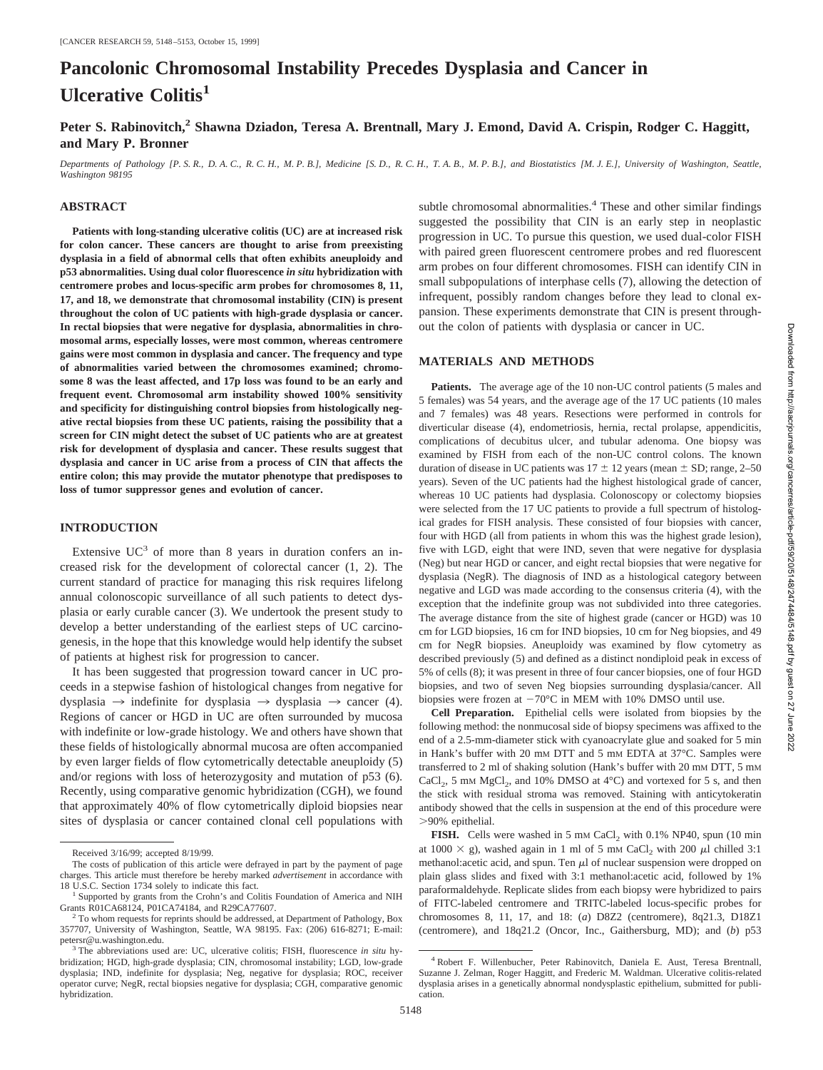# **Pancolonic Chromosomal Instability Precedes Dysplasia and Cancer in Ulcerative Colitis<sup>1</sup>**

# Peter S. Rabinovitch,<sup>2</sup> Shawna Dziadon, Teresa A. Brentnall, Mary J. Emond, David A. Crispin, Rodger C. Haggitt, **and Mary P. Bronner**

*Departments of Pathology [P. S. R., D. A. C., R. C. H., M. P. B.], Medicine [S. D., R. C. H., T. A. B., M. P. B.], and Biostatistics [M. J. E.], University of Washington, Seattle, Washington 98195*

#### **ABSTRACT**

**Patients with long-standing ulcerative colitis (UC) are at increased risk for colon cancer. These cancers are thought to arise from preexisting dysplasia in a field of abnormal cells that often exhibits aneuploidy and p53 abnormalities. Using dual color fluorescence** *in situ* **hybridization with centromere probes and locus-specific arm probes for chromosomes 8, 11, 17, and 18, we demonstrate that chromosomal instability (CIN) is present throughout the colon of UC patients with high-grade dysplasia or cancer. In rectal biopsies that were negative for dysplasia, abnormalities in chromosomal arms, especially losses, were most common, whereas centromere gains were most common in dysplasia and cancer. The frequency and type of abnormalities varied between the chromosomes examined; chromosome 8 was the least affected, and 17p loss was found to be an early and frequent event. Chromosomal arm instability showed 100% sensitivity and specificity for distinguishing control biopsies from histologically negative rectal biopsies from these UC patients, raising the possibility that a screen for CIN might detect the subset of UC patients who are at greatest risk for development of dysplasia and cancer. These results suggest that dysplasia and cancer in UC arise from a process of CIN that affects the entire colon; this may provide the mutator phenotype that predisposes to loss of tumor suppressor genes and evolution of cancer.**

## **INTRODUCTION**

Extensive  $UC^3$  of more than 8 years in duration confers an increased risk for the development of colorectal cancer (1, 2). The current standard of practice for managing this risk requires lifelong annual colonoscopic surveillance of all such patients to detect dysplasia or early curable cancer (3). We undertook the present study to develop a better understanding of the earliest steps of UC carcinogenesis, in the hope that this knowledge would help identify the subset of patients at highest risk for progression to cancer.

It has been suggested that progression toward cancer in UC proceeds in a stepwise fashion of histological changes from negative for dysplasia  $\rightarrow$  indefinite for dysplasia  $\rightarrow$  dysplasia  $\rightarrow$  cancer (4). Regions of cancer or HGD in UC are often surrounded by mucosa with indefinite or low-grade histology. We and others have shown that these fields of histologically abnormal mucosa are often accompanied by even larger fields of flow cytometrically detectable aneuploidy (5) and/or regions with loss of heterozygosity and mutation of p53 (6). Recently, using comparative genomic hybridization (CGH), we found that approximately 40% of flow cytometrically diploid biopsies near sites of dysplasia or cancer contained clonal cell populations with subtle chromosomal abnormalities.<sup>4</sup> These and other similar findings suggested the possibility that CIN is an early step in neoplastic progression in UC. To pursue this question, we used dual-color FISH with paired green fluorescent centromere probes and red fluorescent arm probes on four different chromosomes. FISH can identify CIN in small subpopulations of interphase cells (7), allowing the detection of infrequent, possibly random changes before they lead to clonal expansion. These experiments demonstrate that CIN is present throughout the colon of patients with dysplasia or cancer in UC.

#### **MATERIALS AND METHODS**

Patients. The average age of the 10 non-UC control patients (5 males and 5 females) was 54 years, and the average age of the 17 UC patients (10 males and 7 females) was 48 years. Resections were performed in controls for diverticular disease (4), endometriosis, hernia, rectal prolapse, appendicitis, complications of decubitus ulcer, and tubular adenoma. One biopsy was examined by FISH from each of the non-UC control colons. The known duration of disease in UC patients was  $17 \pm 12$  years (mean  $\pm$  SD; range, 2–50 years). Seven of the UC patients had the highest histological grade of cancer, whereas 10 UC patients had dysplasia. Colonoscopy or colectomy biopsies were selected from the 17 UC patients to provide a full spectrum of histological grades for FISH analysis. These consisted of four biopsies with cancer, four with HGD (all from patients in whom this was the highest grade lesion), five with LGD, eight that were IND, seven that were negative for dysplasia (Neg) but near HGD or cancer, and eight rectal biopsies that were negative for dysplasia (NegR). The diagnosis of IND as a histological category between negative and LGD was made according to the consensus criteria (4), with the exception that the indefinite group was not subdivided into three categories. The average distance from the site of highest grade (cancer or HGD) was 10 cm for LGD biopsies, 16 cm for IND biopsies, 10 cm for Neg biopsies, and 49 cm for NegR biopsies. Aneuploidy was examined by flow cytometry as described previously (5) and defined as a distinct nondiploid peak in excess of 5% of cells (8); it was present in three of four cancer biopsies, one of four HGD biopsies, and two of seven Neg biopsies surrounding dysplasia/cancer. All biopsies were frozen at  $-70^{\circ}$ C in MEM with 10% DMSO until use.

**Cell Preparation.** Epithelial cells were isolated from biopsies by the following method: the nonmucosal side of biopsy specimens was affixed to the end of a 2.5-mm-diameter stick with cyanoacrylate glue and soaked for 5 min in Hank's buffer with 20 mM DTT and 5 mM EDTA at 37°C. Samples were transferred to 2 ml of shaking solution (Hank's buffer with 20 mM DTT, 5 mM CaCl<sub>2</sub>, 5 mM MgCl<sub>2</sub>, and 10% DMSO at 4 $\degree$ C) and vortexed for 5 s, and then the stick with residual stroma was removed. Staining with anticytokeratin antibody showed that the cells in suspension at the end of this procedure were .90% epithelial.

**FISH.** Cells were washed in 5 mm CaCl<sub>2</sub> with 0.1% NP40, spun (10 min at 1000  $\times$  g), washed again in 1 ml of 5 mm CaCl<sub>2</sub> with 200  $\mu$ l chilled 3:1 methanol: acetic acid, and spun. Ten  $\mu$ l of nuclear suspension were dropped on plain glass slides and fixed with 3:1 methanol:acetic acid, followed by 1% paraformaldehyde. Replicate slides from each biopsy were hybridized to pairs of FITC-labeled centromere and TRITC-labeled locus-specific probes for chromosomes 8, 11, 17, and 18: (*a*) D8Z2 (centromere), 8q21.3, D18Z1 (centromere), and 18q21.2 (Oncor, Inc., Gaithersburg, MD); and (*b*) p53

Received 3/16/99; accepted 8/19/99.

The costs of publication of this article were defrayed in part by the payment of page charges. This article must therefore be hereby marked *advertisement* in accordance with 18 U.S.C. Section 1734 solely to indicate this fact.<br><sup>1</sup> Supported by grants from the Crohn's and Colitis Foundation of America and NIH

Grants R01CA68124, P01CA74184, and R29CA77607.<br><sup>2</sup> To whom requests for reprints should be addressed, at Department of Pathology, Box 357707, University of Washington, Seattle, WA 98195. Fax: (206) 616-8271; E-mail:

petersr@u.washington.edu. <sup>3</sup> The abbreviations used are: UC, ulcerative colitis; FISH, fluorescence *in situ* hybridization; HGD, high-grade dysplasia; CIN, chromosomal instability; LGD, low-grade dysplasia; IND, indefinite for dysplasia; Neg, negative for dysplasia; ROC, receiver operator curve; NegR, rectal biopsies negative for dysplasia; CGH, comparative genomic hybridization.

<sup>4</sup> Robert F. Willenbucher, Peter Rabinovitch, Daniela E. Aust, Teresa Brentnall, Suzanne J. Zelman, Roger Haggitt, and Frederic M. Waldman. Ulcerative colitis-related dysplasia arises in a genetically abnormal nondysplastic epithelium, submitted for publication.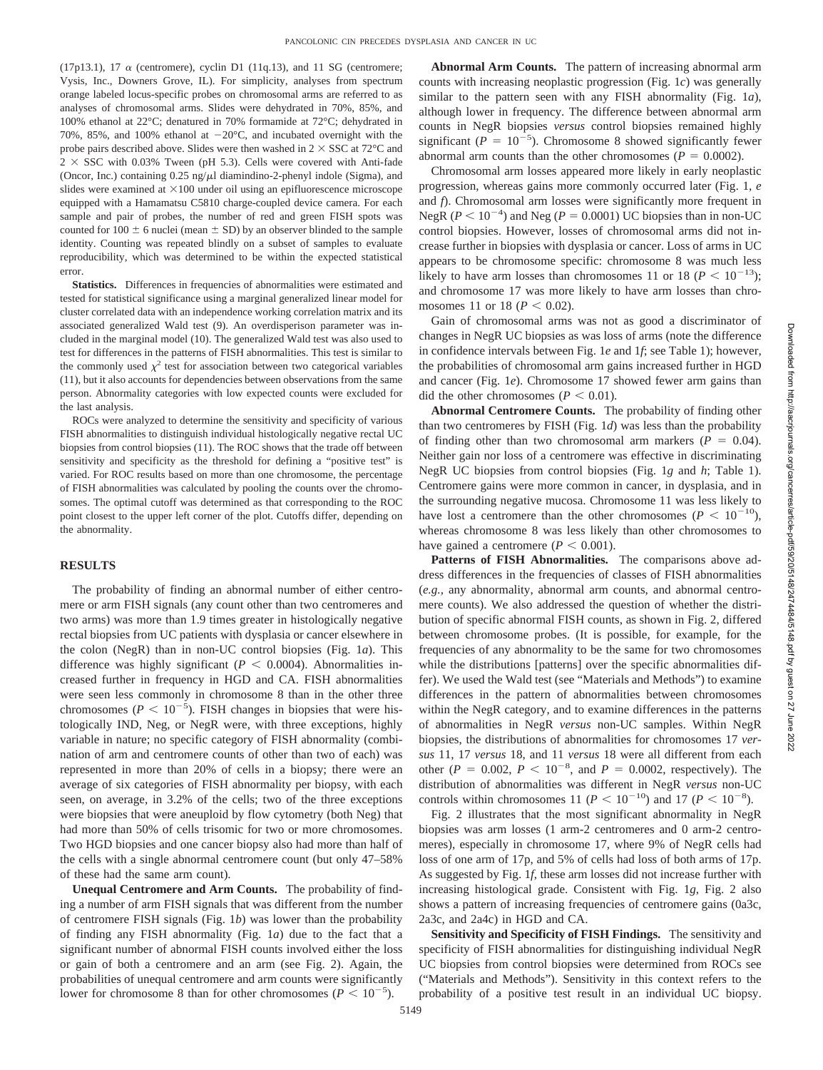(17p13.1), 17  $\alpha$  (centromere), cyclin D1 (11q.13), and 11 SG (centromere; Vysis, Inc., Downers Grove, IL). For simplicity, analyses from spectrum orange labeled locus-specific probes on chromosomal arms are referred to as analyses of chromosomal arms. Slides were dehydrated in 70%, 85%, and 100% ethanol at 22°C; denatured in 70% formamide at 72°C; dehydrated in 70%, 85%, and 100% ethanol at  $-20^{\circ}$ C, and incubated overnight with the probe pairs described above. Slides were then washed in  $2 \times SSC$  at  $72^{\circ}C$  and  $2 \times SSC$  with 0.03% Tween (pH 5.3). Cells were covered with Anti-fade (Oncor, Inc.) containing  $0.25$  ng/ $\mu$ l diamindino-2-phenyl indole (Sigma), and slides were examined at  $\times 100$  under oil using an epifluorescence microscope equipped with a Hamamatsu C5810 charge-coupled device camera. For each sample and pair of probes, the number of red and green FISH spots was counted for 100  $\pm$  6 nuclei (mean  $\pm$  SD) by an observer blinded to the sample identity. Counting was repeated blindly on a subset of samples to evaluate reproducibility, which was determined to be within the expected statistical error.

Statistics. Differences in frequencies of abnormalities were estimated and tested for statistical significance using a marginal generalized linear model for cluster correlated data with an independence working correlation matrix and its associated generalized Wald test (9). An overdisperison parameter was included in the marginal model (10). The generalized Wald test was also used to test for differences in the patterns of FISH abnormalities. This test is similar to the commonly used  $\chi^2$  test for association between two categorical variables (11), but it also accounts for dependencies between observations from the same person. Abnormality categories with low expected counts were excluded for the last analysis.

ROCs were analyzed to determine the sensitivity and specificity of various FISH abnormalities to distinguish individual histologically negative rectal UC biopsies from control biopsies (11). The ROC shows that the trade off between sensitivity and specificity as the threshold for defining a "positive test" is varied. For ROC results based on more than one chromosome, the percentage of FISH abnormalities was calculated by pooling the counts over the chromosomes. The optimal cutoff was determined as that corresponding to the ROC point closest to the upper left corner of the plot. Cutoffs differ, depending on the abnormality.

#### **RESULTS**

The probability of finding an abnormal number of either centromere or arm FISH signals (any count other than two centromeres and two arms) was more than 1.9 times greater in histologically negative rectal biopsies from UC patients with dysplasia or cancer elsewhere in the colon (NegR) than in non-UC control biopsies (Fig. 1*a*). This difference was highly significant ( $P < 0.0004$ ). Abnormalities increased further in frequency in HGD and CA. FISH abnormalities were seen less commonly in chromosome 8 than in the other three chromosomes ( $P < 10^{-5}$ ). FISH changes in biopsies that were histologically IND, Neg, or NegR were, with three exceptions, highly variable in nature; no specific category of FISH abnormality (combination of arm and centromere counts of other than two of each) was represented in more than 20% of cells in a biopsy; there were an average of six categories of FISH abnormality per biopsy, with each seen, on average, in 3.2% of the cells; two of the three exceptions were biopsies that were aneuploid by flow cytometry (both Neg) that had more than 50% of cells trisomic for two or more chromosomes. Two HGD biopsies and one cancer biopsy also had more than half of the cells with a single abnormal centromere count (but only 47–58% of these had the same arm count).

**Unequal Centromere and Arm Counts.** The probability of finding a number of arm FISH signals that was different from the number of centromere FISH signals (Fig. 1*b*) was lower than the probability of finding any FISH abnormality (Fig. 1*a*) due to the fact that a significant number of abnormal FISH counts involved either the loss or gain of both a centromere and an arm (see Fig. 2). Again, the probabilities of unequal centromere and arm counts were significantly lower for chromosome 8 than for other chromosomes ( $P < 10^{-5}$ ).

**Abnormal Arm Counts.** The pattern of increasing abnormal arm counts with increasing neoplastic progression (Fig. 1*c*) was generally similar to the pattern seen with any FISH abnormality (Fig. 1*a*), although lower in frequency. The difference between abnormal arm counts in NegR biopsies *versus* control biopsies remained highly significant ( $P = 10^{-5}$ ). Chromosome 8 showed significantly fewer abnormal arm counts than the other chromosomes ( $P = 0.0002$ ).

Chromosomal arm losses appeared more likely in early neoplastic progression, whereas gains more commonly occurred later (Fig. 1, *e* and *f*). Chromosomal arm losses were significantly more frequent in NegR ( $P < 10^{-4}$ ) and Neg ( $P = 0.0001$ ) UC biopsies than in non-UC control biopsies. However, losses of chromosomal arms did not increase further in biopsies with dysplasia or cancer. Loss of arms in UC appears to be chromosome specific: chromosome 8 was much less likely to have arm losses than chromosomes 11 or 18 ( $P < 10^{-13}$ ); and chromosome 17 was more likely to have arm losses than chromosomes 11 or 18 ( $P < 0.02$ ).

Gain of chromosomal arms was not as good a discriminator of changes in NegR UC biopsies as was loss of arms (note the difference in confidence intervals between Fig. 1*e* and 1*f*; see Table 1); however, the probabilities of chromosomal arm gains increased further in HGD and cancer (Fig. 1*e*). Chromosome 17 showed fewer arm gains than did the other chromosomes ( $P < 0.01$ ).

**Abnormal Centromere Counts.** The probability of finding other than two centromeres by FISH (Fig. 1*d*) was less than the probability of finding other than two chromosomal arm markers  $(P = 0.04)$ . Neither gain nor loss of a centromere was effective in discriminating NegR UC biopsies from control biopsies (Fig. 1*g* and *h*; Table 1). Centromere gains were more common in cancer, in dysplasia, and in the surrounding negative mucosa. Chromosome 11 was less likely to have lost a centromere than the other chromosomes ( $P < 10^{-10}$ ), whereas chromosome 8 was less likely than other chromosomes to have gained a centromere  $(P < 0.001)$ .

**Patterns of FISH Abnormalities.** The comparisons above address differences in the frequencies of classes of FISH abnormalities (*e.g.*, any abnormality, abnormal arm counts, and abnormal centromere counts). We also addressed the question of whether the distribution of specific abnormal FISH counts, as shown in Fig. 2, differed between chromosome probes. (It is possible, for example, for the frequencies of any abnormality to be the same for two chromosomes while the distributions [patterns] over the specific abnormalities differ). We used the Wald test (see "Materials and Methods") to examine differences in the pattern of abnormalities between chromosomes within the NegR category, and to examine differences in the patterns of abnormalities in NegR *versus* non-UC samples. Within NegR biopsies, the distributions of abnormalities for chromosomes 17 *versus* 11, 17 *versus* 18, and 11 *versus* 18 were all different from each other ( $P = 0.002$ ,  $P < 10^{-8}$ , and  $P = 0.0002$ , respectively). The distribution of abnormalities was different in NegR *versus* non-UC controls within chromosomes 11 ( $P < 10^{-10}$ ) and 17 ( $P < 10^{-8}$ ).

Fig. 2 illustrates that the most significant abnormality in NegR biopsies was arm losses (1 arm-2 centromeres and 0 arm-2 centromeres), especially in chromosome 17, where 9% of NegR cells had loss of one arm of 17p, and 5% of cells had loss of both arms of 17p. As suggested by Fig. 1*f*, these arm losses did not increase further with increasing histological grade. Consistent with Fig. 1*g*, Fig. 2 also shows a pattern of increasing frequencies of centromere gains (0a3c, 2a3c, and 2a4c) in HGD and CA.

**Sensitivity and Specificity of FISH Findings.** The sensitivity and specificity of FISH abnormalities for distinguishing individual NegR UC biopsies from control biopsies were determined from ROCs see ("Materials and Methods"). Sensitivity in this context refers to the probability of a positive test result in an individual UC biopsy.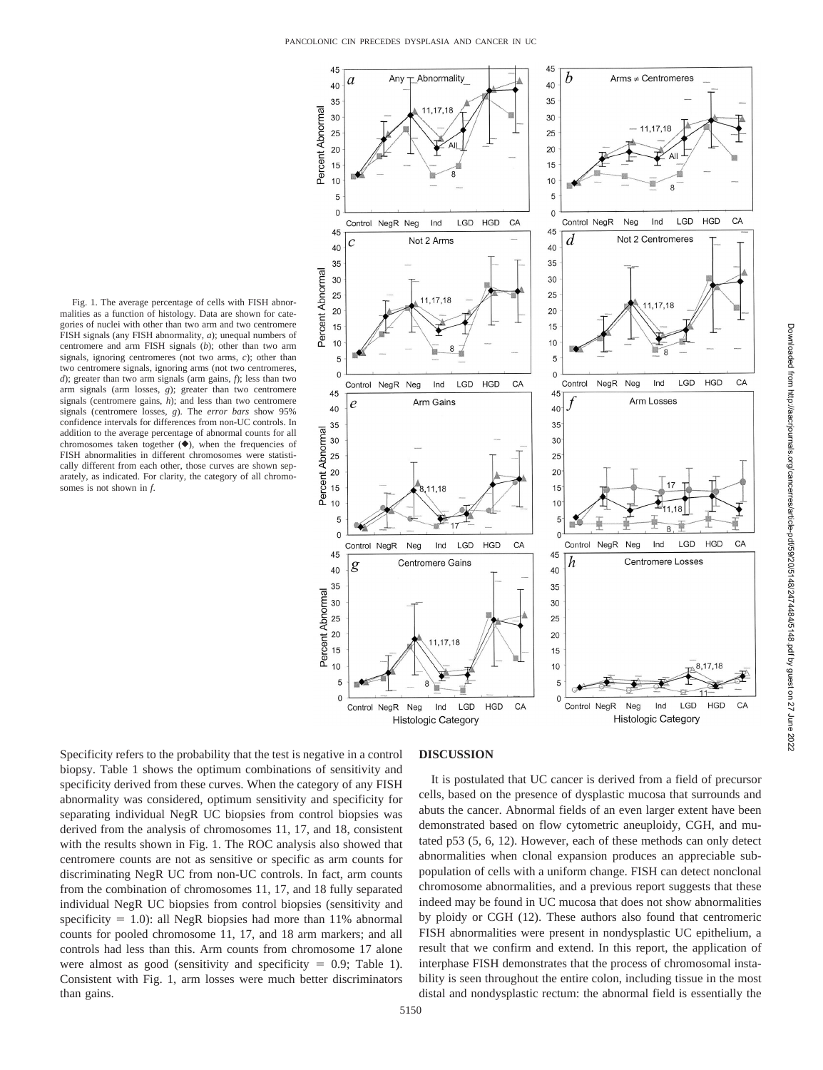45

b Abnormality Arms  $\pm$  Centromeres Any  $\overline{a}$ 40  $\Delta$ 0 35  $35$ Percent Abnormal 11.17.18 30 30 1 1 7 1 9 25 25  $20$  $\overline{20}$ 15 15  $10$  $10$ 5 5  $\mathbf{0}$  $\Omega$ Control NegR Neg  $IGD$ **HGD** CA Control NegR Neg Ind LGD **HGD** CA Ind 45 45 Not 2 Centromeres Not 2 Arms d  $\mathcal{C}_{0}^{2}$ 40 40 35 35 Percent Abnormal 30 30 25 25 17,18 1 17 18  $20$  $20$ 15  $15$ 10 10 5 5  $\overline{0}$  $\overline{0}$ CA LGD **HGD** Control NegR Neg Control NegR Neg Ind LGD **HGD** CA Ind 45  $45$ Arm Gains **Arm Losses**  $\overline{e}$  $40$  $40<sup>-</sup>$ 35 35 Percent Abnormal 30  $30$ 25  $25$ 20  $20 -$ 15 15  $10$  $10$ 5  $5<sup>2</sup>$  $17$  $\overline{0}$  $\overline{0}$ LGD **HGD** CA Control NegR Neg Ind LGD **HGD**  $C\Delta$ Control NegR Neg Ind 45 45 h Centromere Gains Centromere Losses g 40 40 35 35 Percent Abnormal 30  $30^{\circ}$  $25$ 25  $20$  $20$ 11.17.18 15 15  $10$  $10$ 8,17,18 5 5  $\overline{0}$  $\Omega$ CA Control NeaR LGD **HGD** Control NegR Neg Ind LGD **HGD** CA Neg Ind **Histologic Category Histologic Category** 

45

Fig. 1. The average percentage of cells with FISH abnormalities as a function of histology. Data are shown for categories of nuclei with other than two arm and two centromere FISH signals (any FISH abnormality, *a*); unequal numbers of centromere and arm FISH signals (*b*); other than two arm signals, ignoring centromeres (not two arms, *c*); other than two centromere signals, ignoring arms (not two centromeres, *d*); greater than two arm signals (arm gains, *f*); less than two arm signals (arm losses, *g*); greater than two centromere signals (centromere gains, *h*); and less than two centromere signals (centromere losses, *g*). The *error bars* show 95% confidence intervals for differences from non-UC controls. In addition to the average percentage of abnormal counts for all chromosomes taken together  $(\blacklozenge)$ , when the frequencies of FISH abnormalities in different chromosomes were statistically different from each other, those curves are shown separately, as indicated. For clarity, the category of all chromosomes is not shown in *f*.

Specificity refers to the probability that the test is negative in a control biopsy. Table 1 shows the optimum combinations of sensitivity and specificity derived from these curves. When the category of any FISH abnormality was considered, optimum sensitivity and specificity for separating individual NegR UC biopsies from control biopsies was derived from the analysis of chromosomes 11, 17, and 18, consistent with the results shown in Fig. 1. The ROC analysis also showed that centromere counts are not as sensitive or specific as arm counts for discriminating NegR UC from non-UC controls. In fact, arm counts from the combination of chromosomes 11, 17, and 18 fully separated individual NegR UC biopsies from control biopsies (sensitivity and specificity  $= 1.0$ ): all NegR biopsies had more than 11% abnormal counts for pooled chromosome 11, 17, and 18 arm markers; and all controls had less than this. Arm counts from chromosome 17 alone were almost as good (sensitivity and specificity  $= 0.9$ ; Table 1). Consistent with Fig. 1, arm losses were much better discriminators than gains.

# **DISCUSSION**

It is postulated that UC cancer is derived from a field of precursor cells, based on the presence of dysplastic mucosa that surrounds and abuts the cancer. Abnormal fields of an even larger extent have been demonstrated based on flow cytometric aneuploidy, CGH, and mutated p53 (5, 6, 12). However, each of these methods can only detect abnormalities when clonal expansion produces an appreciable subpopulation of cells with a uniform change. FISH can detect nonclonal chromosome abnormalities, and a previous report suggests that these indeed may be found in UC mucosa that does not show abnormalities by ploidy or CGH (12). These authors also found that centromeric FISH abnormalities were present in nondysplastic UC epithelium, a result that we confirm and extend. In this report, the application of interphase FISH demonstrates that the process of chromosomal instability is seen throughout the entire colon, including tissue in the most distal and nondysplastic rectum: the abnormal field is essentially the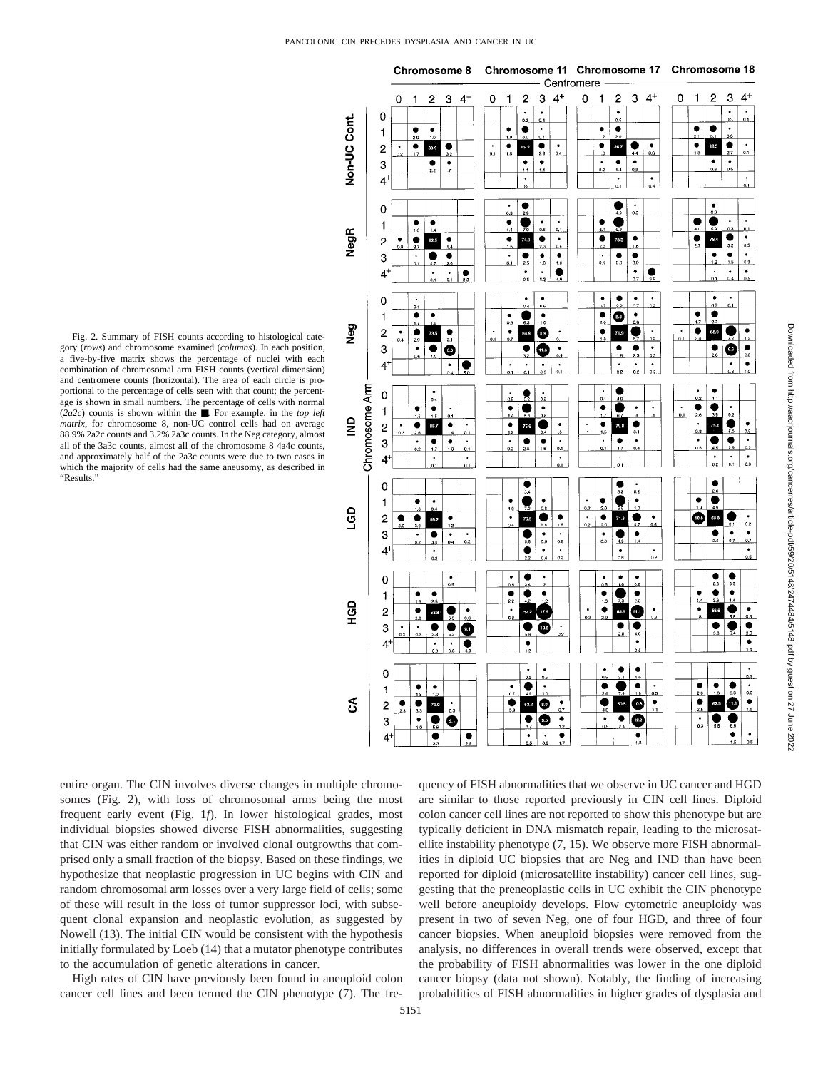

Downloaded from http://aacrjournals.org/cancerres/article-pdf/59/20/5148/2474484/5148.pdf by guest on 27 June 2022 Downloaded from http://aacrjournals.org/cancerres/article-pdf/59/20/5148/2474484/5148.pdf by guest on 27 June 2022

entire organ. The CIN involves diverse changes in multiple chromosomes (Fig. 2), with loss of chromosomal arms being the most frequent early event (Fig. 1*f*). In lower histological grades, most individual biopsies showed diverse FISH abnormalities, suggesting that CIN was either random or involved clonal outgrowths that comprised only a small fraction of the biopsy. Based on these findings, we hypothesize that neoplastic progression in UC begins with CIN and random chromosomal arm losses over a very large field of cells; some of these will result in the loss of tumor suppressor loci, with subsequent clonal expansion and neoplastic evolution, as suggested by Nowell (13). The initial CIN would be consistent with the hypothesis initially formulated by Loeb (14) that a mutator phenotype contributes to the accumulation of genetic alterations in cancer.

High rates of CIN have previously been found in aneuploid colon cancer cell lines and been termed the CIN phenotype (7). The fre-

quency of FISH abnormalities that we observe in UC cancer and HGD are similar to those reported previously in CIN cell lines. Diploid colon cancer cell lines are not reported to show this phenotype but are typically deficient in DNA mismatch repair, leading to the microsatellite instability phenotype (7, 15). We observe more FISH abnormalities in diploid UC biopsies that are Neg and IND than have been reported for diploid (microsatellite instability) cancer cell lines, suggesting that the preneoplastic cells in UC exhibit the CIN phenotype well before aneuploidy develops. Flow cytometric aneuploidy was present in two of seven Neg, one of four HGD, and three of four cancer biopsies. When aneuploid biopsies were removed from the analysis, no differences in overall trends were observed, except that the probability of FISH abnormalities was lower in the one diploid cancer biopsy (data not shown). Notably, the finding of increasing probabilities of FISH abnormalities in higher grades of dysplasia and

Fig. 2. Summary of FISH counts according to histological category (*rows*) and chromosome examined (*columns*). In each position, a five-by-five matrix shows the percentage of nuclei with each combination of chromosomal arm FISH counts (vertical dimension) and centromere counts (horizontal). The area of each circle is proportional to the percentage of cells seen with that count; the percentage is shown in small numbers. The percentage of cells with normal (*2a2c*) counts is shown within the ■. For example, in the *top left matrix*, for chromosome 8, non-UC control cells had on average 88.9% 2a2c counts and 3.2% 2a3c counts. In the Neg category, almost all of the 3a3c counts, almost all of the chromosome 8 4a4c counts, and approximately half of the 2a3c counts were due to two cases in which the majority of cells had the same aneusomy, as described in "Results."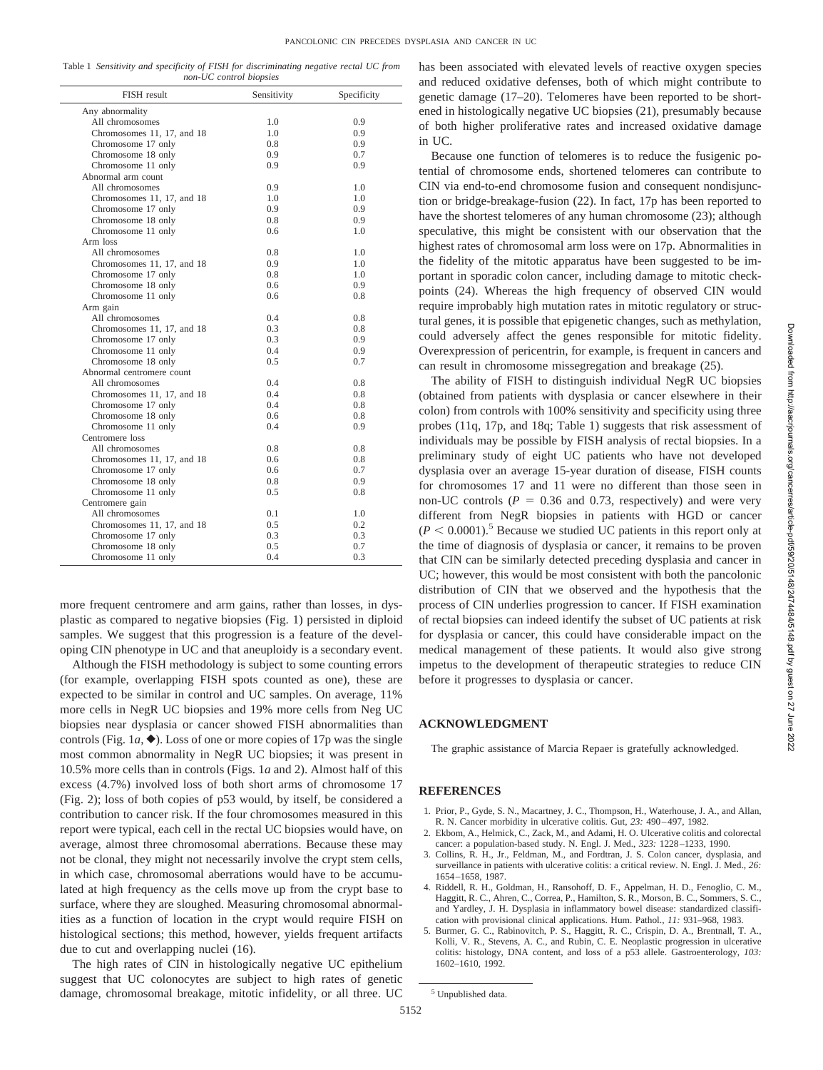Table 1 *Sensitivity and specificity of FISH for discriminating negative rectal UC from non-UC control biopsies*

| FISH result                | Sensitivity | Specificity |
|----------------------------|-------------|-------------|
| Any abnormality            |             |             |
| All chromosomes            | 1.0         | 0.9         |
| Chromosomes 11, 17, and 18 | 1.0         | 0.9         |
| Chromosome 17 only         | 0.8         | 0.9         |
| Chromosome 18 only         | 0.9         | 0.7         |
| Chromosome 11 only         | 0.9         | 0.9         |
| Abnormal arm count         |             |             |
| All chromosomes            | 0.9         | 1.0         |
| Chromosomes 11, 17, and 18 | 1.0         | 1.0         |
| Chromosome 17 only         | 0.9         | 0.9         |
| Chromosome 18 only         | 0.8         | 0.9         |
| Chromosome 11 only         | 0.6         | 1.0         |
| Arm loss                   |             |             |
| All chromosomes            | 0.8         | 1.0         |
| Chromosomes 11, 17, and 18 | 0.9         | 1.0         |
| Chromosome 17 only         | 0.8         | 1.0         |
| Chromosome 18 only         | 0.6         | 0.9         |
| Chromosome 11 only         | 0.6         | 0.8         |
| Arm gain                   |             |             |
| All chromosomes            | 0.4         | 0.8         |
|                            | 0.3         | 0.8         |
| Chromosomes 11, 17, and 18 |             |             |
| Chromosome 17 only         | 0.3<br>0.4  | 0.9         |
| Chromosome 11 only         |             | 0.9         |
| Chromosome 18 only         | 0.5         | 0.7         |
| Abnormal centromere count  |             |             |
| All chromosomes            | 0.4         | 0.8         |
| Chromosomes 11, 17, and 18 | 0.4         | 0.8         |
| Chromosome 17 only         | 0.4         | 0.8         |
| Chromosome 18 only         | 0.6         | 0.8         |
| Chromosome 11 only         | 0.4         | 0.9         |
| Centromere loss            |             |             |
| All chromosomes            | 0.8         | 0.8         |
| Chromosomes 11, 17, and 18 | 0.6         | 0.8         |
| Chromosome 17 only         | 0.6         | 0.7         |
| Chromosome 18 only         | 0.8         | 0.9         |
| Chromosome 11 only         | 0.5         | 0.8         |
| Centromere gain            |             |             |
| All chromosomes            | 0.1         | 1.0         |
| Chromosomes 11, 17, and 18 | 0.5         | 0.2         |
| Chromosome 17 only         | 0.3         | 0.3         |
| Chromosome 18 only         | 0.5         | 0.7         |
| Chromosome 11 only         | 0.4         | 0.3         |

more frequent centromere and arm gains, rather than losses, in dysplastic as compared to negative biopsies (Fig. 1) persisted in diploid samples. We suggest that this progression is a feature of the developing CIN phenotype in UC and that aneuploidy is a secondary event.

Although the FISH methodology is subject to some counting errors (for example, overlapping FISH spots counted as one), these are expected to be similar in control and UC samples. On average, 11% more cells in NegR UC biopsies and 19% more cells from Neg UC biopsies near dysplasia or cancer showed FISH abnormalities than controls (Fig. 1*a*,  $\blacklozenge$ ). Loss of one or more copies of 17p was the single most common abnormality in NegR UC biopsies; it was present in 10.5% more cells than in controls (Figs. 1*a* and 2). Almost half of this excess (4.7%) involved loss of both short arms of chromosome 17 (Fig. 2); loss of both copies of p53 would, by itself, be considered a contribution to cancer risk. If the four chromosomes measured in this report were typical, each cell in the rectal UC biopsies would have, on average, almost three chromosomal aberrations. Because these may not be clonal, they might not necessarily involve the crypt stem cells, in which case, chromosomal aberrations would have to be accumulated at high frequency as the cells move up from the crypt base to surface, where they are sloughed. Measuring chromosomal abnormalities as a function of location in the crypt would require FISH on histological sections; this method, however, yields frequent artifacts due to cut and overlapping nuclei (16).

The high rates of CIN in histologically negative UC epithelium suggest that UC colonocytes are subject to high rates of genetic damage, chromosomal breakage, mitotic infidelity, or all three. UC has been associated with elevated levels of reactive oxygen species and reduced oxidative defenses, both of which might contribute to genetic damage (17–20). Telomeres have been reported to be shortened in histologically negative UC biopsies (21), presumably because of both higher proliferative rates and increased oxidative damage in UC.

Because one function of telomeres is to reduce the fusigenic potential of chromosome ends, shortened telomeres can contribute to CIN via end-to-end chromosome fusion and consequent nondisjunction or bridge-breakage-fusion (22). In fact, 17p has been reported to have the shortest telomeres of any human chromosome (23); although speculative, this might be consistent with our observation that the highest rates of chromosomal arm loss were on 17p. Abnormalities in the fidelity of the mitotic apparatus have been suggested to be important in sporadic colon cancer, including damage to mitotic checkpoints (24). Whereas the high frequency of observed CIN would require improbably high mutation rates in mitotic regulatory or structural genes, it is possible that epigenetic changes, such as methylation, could adversely affect the genes responsible for mitotic fidelity. Overexpression of pericentrin, for example, is frequent in cancers and can result in chromosome missegregation and breakage (25).

The ability of FISH to distinguish individual NegR UC biopsies (obtained from patients with dysplasia or cancer elsewhere in their colon) from controls with 100% sensitivity and specificity using three probes (11q, 17p, and 18q; Table 1) suggests that risk assessment of individuals may be possible by FISH analysis of rectal biopsies. In a preliminary study of eight UC patients who have not developed dysplasia over an average 15-year duration of disease, FISH counts for chromosomes 17 and 11 were no different than those seen in non-UC controls  $(P = 0.36$  and 0.73, respectively) and were very different from NegR biopsies in patients with HGD or cancer  $(P \leq 0.0001)$ .<sup>5</sup> Because we studied UC patients in this report only at the time of diagnosis of dysplasia or cancer, it remains to be proven that CIN can be similarly detected preceding dysplasia and cancer in UC; however, this would be most consistent with both the pancolonic distribution of CIN that we observed and the hypothesis that the process of CIN underlies progression to cancer. If FISH examination of rectal biopsies can indeed identify the subset of UC patients at risk for dysplasia or cancer, this could have considerable impact on the medical management of these patients. It would also give strong impetus to the development of therapeutic strategies to reduce CIN before it progresses to dysplasia or cancer.

#### **ACKNOWLEDGMENT**

The graphic assistance of Marcia Repaer is gratefully acknowledged.

### **REFERENCES**

- 1. Prior, P., Gyde, S. N., Macartney, J. C., Thompson, H., Waterhouse, J. A., and Allan, R. N. Cancer morbidity in ulcerative colitis. Gut, *23:* 490–497, 1982.
- 2. Ekbom, A., Helmick, C., Zack, M., and Adami, H. O. Ulcerative colitis and colorectal cancer: a population-based study. N. Engl. J. Med., *323:* 1228–1233, 1990.
- 3. Collins, R. H., Jr., Feldman, M., and Fordtran, J. S. Colon cancer, dysplasia, and surveillance in patients with ulcerative colitis: a critical review. N. Engl. J. Med., *26:* 1654–1658, 1987.
- 4. Riddell, R. H., Goldman, H., Ransohoff, D. F., Appelman, H. D., Fenoglio, C. M., Haggitt, R. C., Ahren, C., Correa, P., Hamilton, S. R., Morson, B. C., Sommers, S. C., and Yardley, J. H. Dysplasia in inflammatory bowel disease: standardized classification with provisional clinical applications. Hum. Pathol., *11:* 931–968, 1983.
- 5. Burmer, G. C., Rabinovitch, P. S., Haggitt, R. C., Crispin, D. A., Brentnall, T. A., Kolli, V. R., Stevens, A. C., and Rubin, C. E. Neoplastic progression in ulcerative colitis: histology, DNA content, and loss of a p53 allele. Gastroenterology, *103:* 1602–1610, 1992.

<sup>5</sup> Unpublished data.